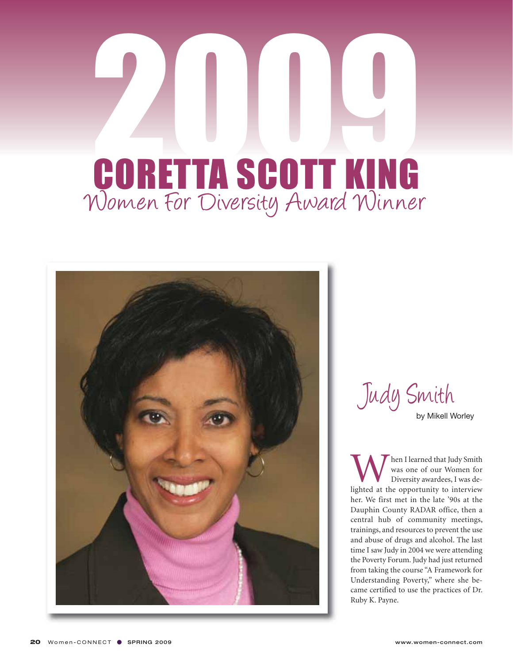## 2009 Women For Diversity Award Winner CORETTA SCOTT KING



Judy Smith

by Mikell Worley

When I learned that Judy Smith<br>
was one of our Women for<br>
Diversity awardees, I was de-<br>
lighted at the opportunity to interview was one of our Women for Diversity awardees, I was deher. We first met in the late '90s at the Dauphin County RADAR office, then a central hub of community meetings, trainings, and resources to prevent the use and abuse of drugs and alcohol. The last time I saw Judy in 2004 we were attending the Poverty Forum. Judy had just returned from taking the course "A Framework for Understanding Poverty," where she became certified to use the practices of Dr. Ruby K. Payne.